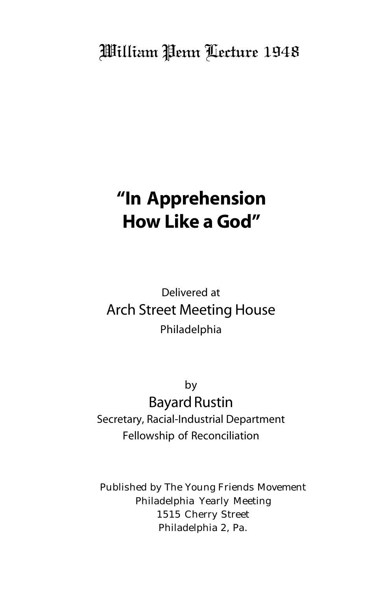## William Penn Lecture 1948

# **"In Apprehension How Like a God"**

## Delivered at Arch Street Meeting House Philadelphia

by Bayard Rustin Secretary, Racial-Industrial Department Fellowship of Reconciliation

Published by The Young Friends Movement Philadelphia Yearly Meeting 1515 Cherry Street Philadelphia 2, Pa.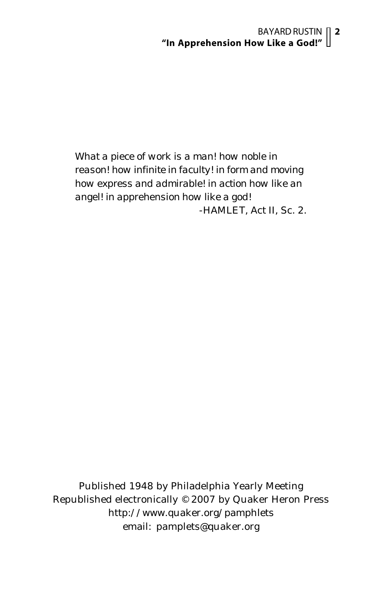#### BAYARD RUSTIN **2 "In Apprehension How Like a God!"**

*What a piece of work is a man! how noble in reason! how infinite in faculty! in form and moving how express and admirable! in action how like an angel! in apprehension how like a god!* -HAMLET, Act II, Sc. 2.

Published 1948 by Philadelphia Yearly Meeting Republished electronically © 2007 by Quaker Heron Press http://www.quaker.org/pamphlets email: pamplets@quaker.org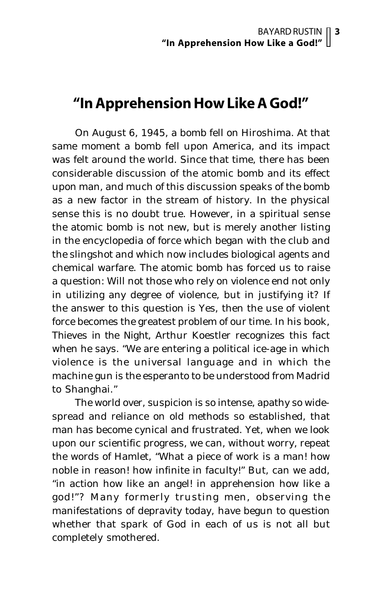### **"In Apprehension How Like A God!"**

On August 6, 1945, a bomb fell on Hiroshima. At that same moment a bomb fell upon America, and its impact was felt around the world. Since that time, there has been considerable discussion of the atomic bomb and its effect upon man, and much of this discussion speaks of the bomb as a new factor in the stream of history. In the physical sense this is no doubt true. However, in a spiritual sense the atomic bomb is not new, but is merely another listing in the encyclopedia of force which began with the club and the slingshot and which now includes biological agents and chemical warfare. The atomic bomb has forced us to raise a question: Will not those who rely on violence end not only in utilizing any degree of violence, but in justifying it? If the answer to this question is Yes, then the use of violent force becomes the greatest problem of our time. In his book, *Thieves in the Night,* Arthur Koestler recognizes this fact when he says. "We are entering a political ice-age in which violence is the universal language and in which the machine gun is the esperanto to be understood from Madrid to Shanghai."

The world over, suspicion is so intense, apathy so widespread and reliance on old methods so established, that man has become cynical and frustrated. Yet, when we look upon our scientific progress, we can, without worry, repeat the words of Hamlet, "What a piece of work is a man! how noble in reason! how infinite in faculty!" But, can we add, "in action how like an angel! in apprehension how like a god!"? Many formerly trusting men, observing the manifestations of depravity today, have begun to question whether that spark of God in each of us is not all but completely smothered.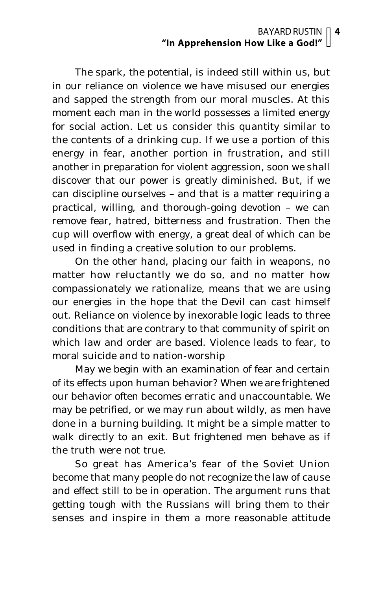#### BAYARD RUSTIN **4 "In Apprehension How Like a God!"**

The spark, the potential, is indeed still within us, but in our reliance on violence we have misused our energies and sapped the strength from our moral muscles. At this moment each man in the world possesses a limited energy for social action. Let us consider this quantity similar to the contents of a drinking cup. If we use a portion of this energy in fear, another portion in frustration, and still another in preparation for violent aggression, soon we shall discover that our power is greatly diminished. But, if we can discipline ourselves – and that is a matter requiring a practical, willing, and thorough-going devotion – we can remove fear, hatred, bitterness and frustration. Then the cup will overflow with energy, a great deal of which can be used in finding a creative solution to our problems.

On the other hand, placing our faith in weapons, no matter how reluctantly we do so, and no matter how compassionately we rationalize, means that we are using our energies in the hope that the Devil can cast himself out. Reliance on violence by inexorable logic leads to three conditions that are contrary to that community of spirit on which law and order are based. Violence leads to fear, to moral suicide and to nation-worship

May we begin with an examination of fear and certain of its effects upon human behavior? When we are frightened our behavior often becomes erratic and unaccountable. We may be petrified, or we may run about wildly, as men have done in a burning building. It might be a simple matter to walk directly to an exit. But frightened men behave as if the truth were not true.

So great has America's fear of the Soviet Union become that many people do not recognize the law of cause and effect still to be in operation. The argument runs that getting tough with the Russians will bring them to their senses and inspire in them a more reasonable attitude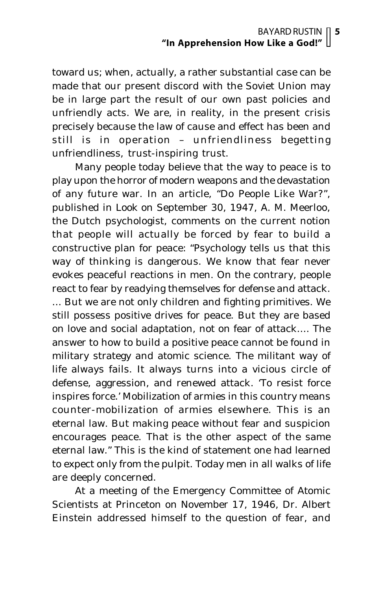toward us; when, actually, a rather substantial case can be made that our present discord with the Soviet Union may be in large part the result of our own past policies and unfriendly acts. We are, in reality, in the present crisis precisely because the law of cause and effect has been and still is in operation – unfriendliness begetting unfriendliness, trust-inspiring trust.

Many people today believe that the way to peace is to play upon the horror of modern weapons and the devastation of any future war. In an article, "Do People Like War?", published in *Look* on September 30, 1947, A. M. Meerloo, the Dutch psychologist, comments on the current notion that people will actually be forced by fear to build a constructive plan for peace: "Psychology tells us that this way of thinking is dangerous. We know that fear never evokes peaceful reactions in men. On the contrary, people react to fear by readying themselves for defense and attack. ... But we are not only children and fighting primitives. We still possess positive drives for peace. But they are based on love and social adaptation, not on fear of attack.... The answer to how to build a positive peace cannot be found in military strategy and atomic science. The militant way of life always fails. It always turns into a vicious circle of defense, aggression, and renewed attack. 'To resist force inspires force.' Mobilization of armies in this country means counter-mobilization of armies elsewhere. This is an eternal law. But making peace without fear and suspicion encourages peace. That is the other aspect of the same eternal law." This is the kind of statement one had learned to expect only from the pulpit. Today men in all walks of life are deeply concerned.

At a meeting of the Emergency Committee of Atomic Scientists at Princeton on November 17, 1946, Dr. Albert Einstein addressed himself to the question of fear, and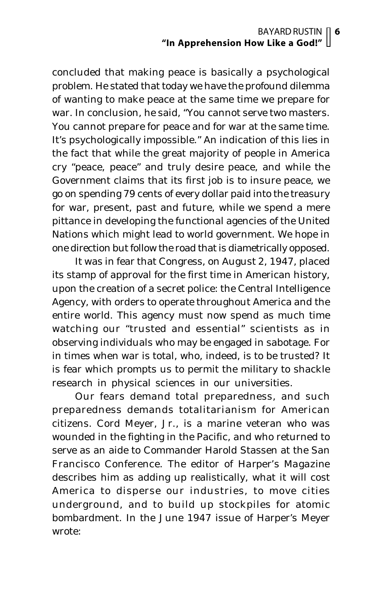concluded that making peace is basically a psychological problem. He stated that today we have the profound dilemma of wanting to make peace at the same time we prepare for war. In conclusion, he said, "You cannot serve two masters. You cannot prepare for peace and for war at the same time. It's psychologically impossible." An indication of this lies in the fact that while the great majority of people in America cry "peace, peace" and truly desire peace, and while the Government claims that its first job is to insure peace, we go on spending 79 cents of every dollar paid into the treasury for war, present, past and future, while we spend a mere pittance in developing the functional agencies of the United Nations which might lead to world government. We hope in one direction but follow the road that is diametrically opposed.

It was in fear that Congress, on August 2, 1947, placed its stamp of approval for the first time in American history, upon the creation of a secret police: the Central Intelligence Agency, with orders to operate throughout America and the entire world. This agency must now spend as much time watching our "trusted and essential" scientists as in observing individuals who may be engaged in sabotage. For in times when war is total, who, indeed, is to be trusted? It is fear which prompts us to permit the military to shackle research in physical sciences in our universities.

Our fears demand total preparedness, and such preparedness demands totalitarianism for American citizens. Cord Meyer, Jr., is a marine veteran who was wounded in the fighting in the Pacific, and who returned to serve as an aide to Commander Harold Stassen at the San Francisco Conference. The editor of *Harper's Magazine* describes him as adding up realistically, what it will cost America to disperse our industries, to move cities underground, and to build up stockpiles for atomic bombardment. In the June 1947 issue of Harper's Meyer wrote: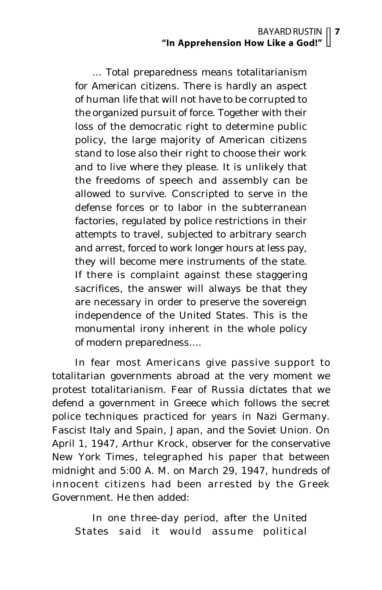... Total preparedness means totalitarianism for American citizens. There is hardly an aspect of human life that will not have to be corrupted to the organized pursuit of force. Together with their loss of the democratic right to determine public policy, the large majority of American citizens stand to lose also their right to choose their work and to live where they please. It is unlikely that the freedoms of speech and assembly can be allowed to survive. Conscripted to serve in the defense forces or to labor in the subterranean factories, regulated by police restrictions in their attempts to travel, subjected to arbitrary search and arrest, forced to work longer hours at less pay, they will become mere instruments of the state. If there is complaint against these staggering sacrifices, the answer will always be that they are necessary in order to preserve the sovereign independence of the United States. This is the monumental irony inherent in the whole policy of modern preparedness....

In fear most Americans give passive support to totalitarian governments abroad at the very moment we protest totalitarianism. Fear of Russia dictates that we defend a government in Greece which follows the secret police techniques practiced for years in Nazi Germany. Fascist Italy and Spain, Japan, and the Soviet Union. On April 1, 1947, Arthur Krock, observer for the conservative *New York Times*, telegraphed his paper that between midnight and 5:00 A. M. on March 29, 1947, hundreds of innocent citizens had been arrested by the Greek Government. He then added:

In one three-day period, after the United States said it would assume political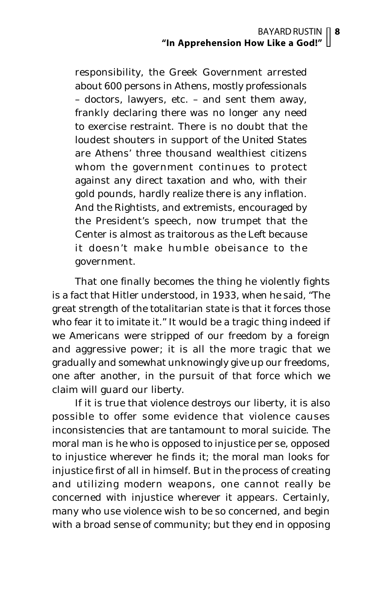responsibility, the Greek Government arrested about 600 persons in Athens, mostly professionals – doctors, lawyers, etc. – and sent them away, frankly declaring there was no longer any need to exercise restraint. There is no doubt that the loudest shouters in support of the United States are Athens' three thousand wealthiest citizens whom the government continues to protect against any direct taxation and who, with their gold pounds, hardly realize there is any inflation. And the Rightists, and extremists, encouraged by the President's speech, now trumpet that the Center is almost as traitorous as the Left because it doesn't make humble obeisance to the government.

That one finally becomes the thing he violently fights is a fact that Hitler understood, in 1933, when he said, "The great strength of the totalitarian state is that it forces those who fear it to imitate it." It would be a tragic thing indeed if we Americans were stripped of our freedom by a foreign and aggressive power; it is all the more tragic that we gradually and somewhat unknowingly give up our freedoms, one after another, in the pursuit of that force which we claim will guard our liberty.

If it is true that violence destroys our liberty, it is also possible to offer some evidence that violence causes inconsistencies that are tantamount to moral suicide. The moral man is he who is opposed to injustice *per se*, opposed to injustice wherever he finds it; the moral man looks for injustice first of all in himself. But in the process of creating and utilizing modern weapons, one cannot really be concerned with injustice wherever it appears. Certainly, many who use violence wish to be so concerned, and begin with a broad sense of community; but they end in opposing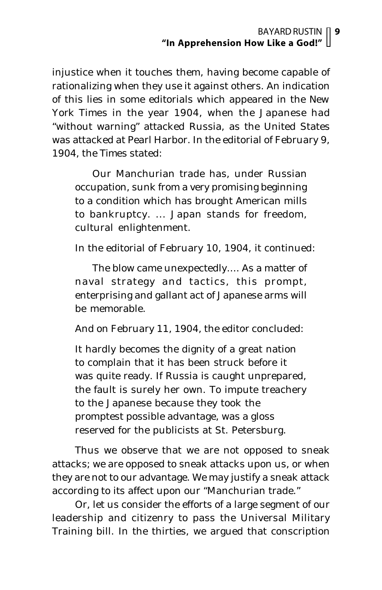injustice when it touches them, having become capable of rationalizing when they use it against others. An indication of this lies in some editorials which appeared in the *New York Times* in the year 1904, when the Japanese had "without warning" attacked Russia, as the United States was attacked at Pearl Harbor. In the editorial of February 9, 1904, the *Times* stated:

Our Manchurian trade has, under Russian occupation, sunk from a very promising beginning to a condition which has brought American mills to bankruptcy. ... Japan stands for freedom, cultural enlightenment.

In the editorial of February 10, 1904, it continued:

The blow came unexpectedly.... As a matter of naval strategy and tactics, this prompt, enterprising and gallant act of Japanese arms will be memorable.

And on February 11, 1904, the editor concluded:

It hardly becomes the dignity of a great nation to complain that it has been struck before it was quite ready. If Russia is caught unprepared, the fault is surely her own. To impute treachery to the Japanese because they took the promptest possible advantage, was a gloss reserved for the publicists at St. Petersburg.

Thus we observe that we are not opposed to sneak attacks; we are opposed to sneak attacks upon us, or when they are not to our advantage. We may justify a sneak attack according to its affect upon our "Manchurian trade."

Or, let us consider the efforts of a large segment of our leadership and citizenry to pass the Universal Military Training bill. In the thirties, we argued that conscription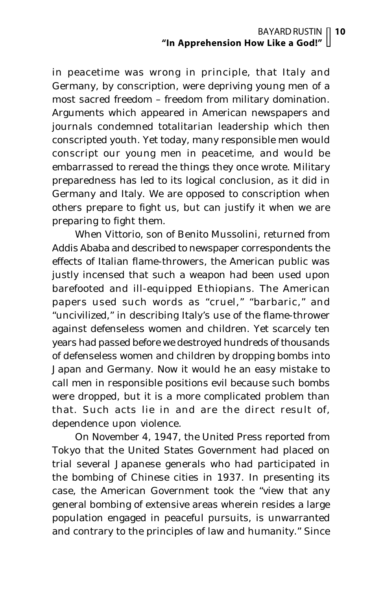in peacetime was wrong in principle, that Italy and Germany, by conscription, were depriving young men of a most sacred freedom – freedom from military domination. Arguments which appeared in American newspapers and journals condemned totalitarian leadership which then conscripted youth. Yet today, many responsible men would conscript our young men in peacetime, and would be embarrassed to reread the things they once wrote. Military preparedness has led to its logical conclusion, as it did in Germany and Italy. We are opposed to conscription when others prepare to fight us, but can justify it when we are preparing to fight them.

When Vittorio, son of Benito Mussolini, returned from Addis Ababa and described to newspaper correspondents the effects of Italian flame-throwers, the American public was justly incensed that such a weapon had been used upon barefooted and ill-equipped Ethiopians. The American papers used such words as "cruel," "barbaric," and "uncivilized," in describing Italy's use of the flame-thrower against defenseless women and children. Yet scarcely ten years had passed before we destroyed hundreds of thousands of defenseless women and children by dropping bombs into Japan and Germany. Now it would he an easy mistake to call men in responsible positions evil because such bombs were dropped, but it is a more complicated problem than that. Such acts lie in and are the direct result of, dependence upon violence.

On November 4, 1947, the United Press reported from Tokyo that the United States Government had placed on trial several Japanese generals who had participated in the bombing of Chinese cities in 1937. In presenting its case, the American Government took the "view that any general bombing of extensive areas wherein resides a large population engaged in peaceful pursuits, is unwarranted and contrary to the principles of law and humanity." Since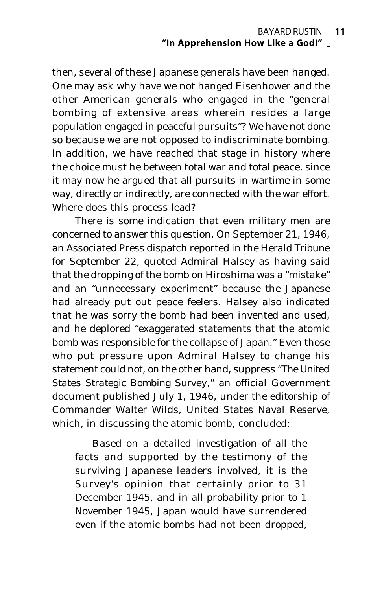then, several of these Japanese generals have been hanged. One may ask why have we not hanged Eisenhower and the other American generals who engaged in the "general bombing of extensive areas wherein resides a large population engaged in peaceful pursuits"? We have not done so because we are not opposed to indiscriminate bombing. In addition, we have reached that stage in history where the choice must he between total war and total peace, since it may now he argued that all pursuits in wartime in some way, directly or indirectly, are connected with the war effort. Where does this process lead?

There is some indication that even military men are concerned to answer this question. On September 21, 1946, an Associated Press dispatch reported in the *Herald Tribune* for September 22, quoted Admiral Halsey as having said that the dropping of the bomb on Hiroshima was a "mistake" and an "unnecessary experiment" because the Japanese had already put out peace feelers. Halsey also indicated that he was sorry the bomb had been invented and used, and he deplored "exaggerated statements that the atomic bomb was responsible for the collapse of Japan." Even those who put pressure upon Admiral Halsey to change his statement could not, on the other hand, suppress *"The United States Strategic Bombing Survey,"* an official Government document published July 1, 1946, under the editorship of Commander Walter Wilds, United States Naval Reserve, which, in discussing the atomic bomb, concluded:

Based on a detailed investigation of all the facts and supported by the testimony of the surviving Japanese leaders involved, it is the Survey's opinion that certainly prior to 31 December 1945, and in all probability prior to 1 November 1945, Japan would have surrendered even if the atomic bombs had not been dropped,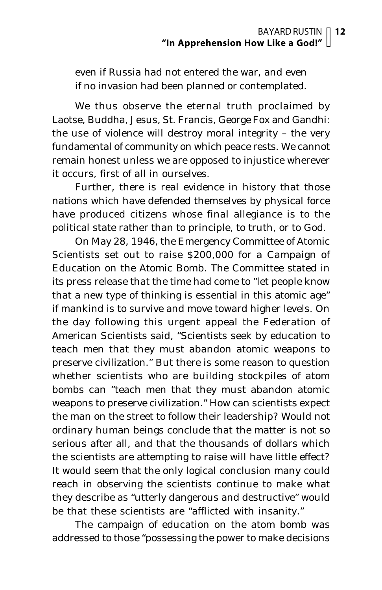even if Russia had not entered the war, and even if no invasion had been planned or contemplated.

We thus observe the eternal truth proclaimed by Laotse, Buddha, Jesus, St. Francis, George Fox and Gandhi: the use of violence will destroy moral integrity – the very fundamental of community on which peace rests. We cannot remain honest unless we are opposed to injustice wherever it occurs, first of all in ourselves.

Further, there is real evidence in history that those nations which have defended themselves by physical force have produced citizens whose final allegiance is to the political state rather than to principle, to truth, or to God.

On May 28, 1946, the Emergency Committee of Atomic Scientists set out to raise \$200,000 for a Campaign of Education on the Atomic Bomb. The Committee stated in its press release that the time had come to "let people know that a new type of thinking is essential in this atomic age" if mankind is to survive and move toward higher levels. On the day following this urgent appeal the Federation of American Scientists said, "Scientists seek by education to teach men that they must abandon atomic weapons to preserve civilization." But there is some reason to question whether scientists who are building stockpiles of atom bombs can "teach men that they must abandon atomic weapons to preserve civilization." How can scientists expect the man on the street to follow their leadership? Would not ordinary human beings conclude that the matter is not so serious after all, and that the thousands of dollars which the scientists are attempting to raise will have little effect? It would seem that the only logical conclusion many could reach in observing the scientists continue to make what they describe as "utterly dangerous and destructive" would be that these scientists are "afflicted with insanity."

The campaign of education on the atom bomb was addressed to those "possessing the power to make decisions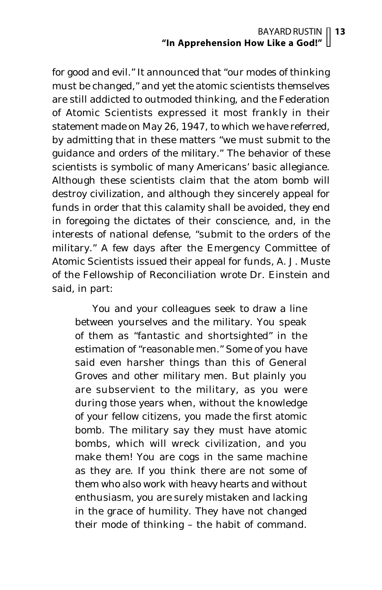for good and evil." It announced that "our modes of thinking must be changed," and yet the atomic scientists themselves are still addicted to outmoded thinking, and the Federation of Atomic Scientists expressed it most frankly in their statement made on May 26, 1947, to which we have referred, by admitting that in these matters "we must submit to *the guidance and orders of the military."* The behavior of these scientists is symbolic of many Americans' basic allegiance. Although these scientists claim that the atom bomb will destroy civilization, and although they sincerely appeal for funds in order that this calamity shall be avoided, they end in foregoing the dictates of their conscience, and, in the interests of national defense, "submit to the orders of the military." A few days after the Emergency Committee of Atomic Scientists issued their appeal for funds, A. J. Muste of the Fellowship of Reconciliation wrote Dr. Einstein and said, in part:

You and your colleagues seek to draw a line between yourselves and the military. You speak of them as "fantastic and shortsighted" in the estimation of "reasonable men." Some of you have said even harsher things than this of General Groves and other military men. But plainly you are subservient to the military, as you were during those years when, without the knowledge of your fellow citizens, you made the first atomic bomb. The military say they must have atomic bombs, which will wreck civilization, and you make them! You are cogs in the same machine as they are. If you think there are not some of them who also work with heavy hearts and without enthusiasm, you are surely mistaken and lacking in the grace of humility. They have not changed their mode of thinking – the habit of command.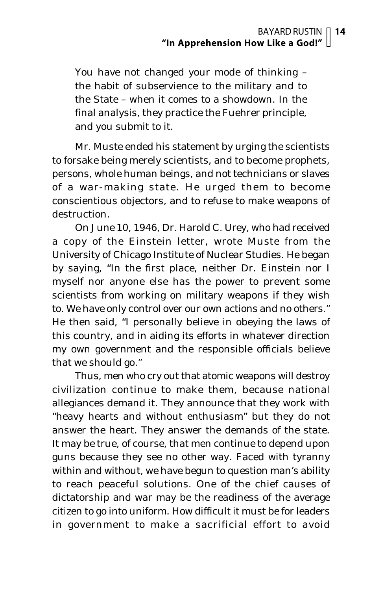You have not changed your mode of thinking – the habit of subservience to the military and to the State – when it comes to a showdown. In the final analysis, they practice the Fuehrer principle, and you submit to it.

Mr. Muste ended his statement by urging the scientists to forsake being merely scientists, and to become prophets, persons, whole human beings, and not technicians or slaves of a war-making state. He urged them to become conscientious objectors, and to refuse to make weapons of destruction.

On June 10, 1946, Dr. Harold C. Urey, who had received a copy of the Einstein letter, wrote Muste from the University of Chicago Institute of Nuclear Studies. He began by saying, "In the first place, neither Dr. Einstein nor I myself nor anyone else has the power to prevent some scientists from working on military weapons if they wish to. We have only control over our own actions and no others." He then said, "I personally believe in obeying the laws of this country, and in aiding its efforts in whatever direction my own government and the responsible officials believe that we should go."

Thus, men who cry out that atomic weapons will destroy civilization continue to make them, because national allegiances demand it. They announce that they work with "heavy hearts and without enthusiasm" but they do not answer the heart. They answer the demands of the state. It may be true, of course, that men continue to depend upon guns because they see no other way. Faced with tyranny within and without, we have begun to question man's ability to reach peaceful solutions. One of the chief causes of dictatorship and war may be the readiness of the average citizen to go into uniform. How difficult it must be for leaders in government to make a sacrificial effort to avoid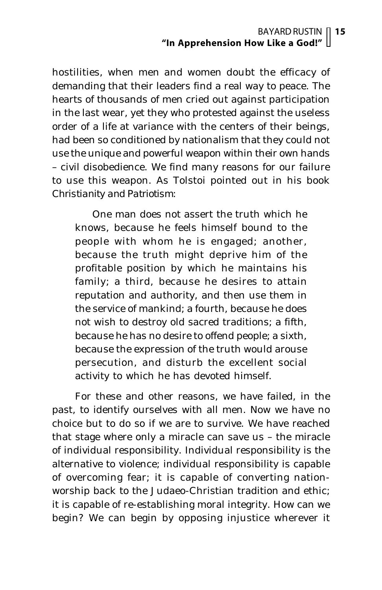hostilities, when men and women doubt the efficacy of demanding that their leaders find a real way to peace. The hearts of thousands of men cried out against participation in the last wear, yet they who protested against the useless order of a life at variance with the centers of their beings, had been so conditioned by nationalism that they could not use the unique and powerful weapon within their own hands – civil disobedience. We find many reasons for our failure to use this weapon. As Tolstoi pointed out in his book *Christianity and Patriotism:*

One man does not assert the truth which he knows, because he feels himself bound to the people with whom he is engaged; another, because the truth might deprive him of the profitable position by which he maintains his family; a third, because he desires to attain reputation and authority, and then use them in the service of mankind; a fourth, because he does not wish to destroy old sacred traditions; a fifth, because he has no desire to offend people; a sixth, because the expression of the truth would arouse persecution, and disturb the excellent social activity to which he has devoted himself.

For these and other reasons, we have failed, in the past, to identify ourselves with all men. Now we have no choice but to do so if we are to survive. We have reached that stage where only a miracle can save us – the miracle of individual responsibility. Individual responsibility is the alternative to violence; individual responsibility is capable of overcoming fear; it is capable of converting nationworship back to the Judaeo-Christian tradition and ethic; it is capable of re-establishing moral integrity. How can we begin? We can begin by opposing injustice wherever it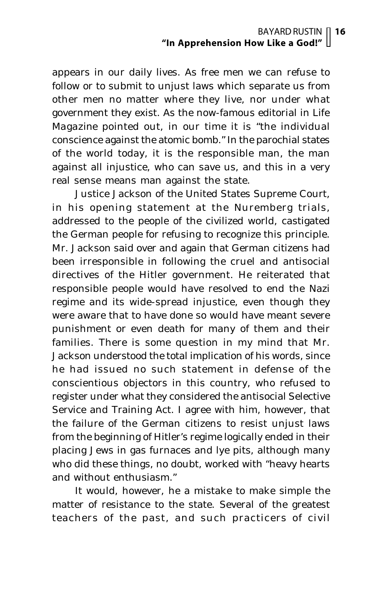appears in our daily lives. As free men we can refuse to follow or to submit to unjust laws which separate us from other men no matter where they live, nor under what government they exist. As the now-famous editorial in *Life Magazine* pointed out, in our time it is "the individual conscience against the atomic bomb." In the parochial states of the world today, it is the responsible man, the man against all injustice, who can save us, and this in a very real sense means man against the state.

Justice Jackson of the United States Supreme Court, in his opening statement at the Nuremberg trials, addressed to the people of the civilized world, castigated the German people for refusing to recognize this principle. Mr. Jackson said over and again that German citizens had been irresponsible in following the cruel and antisocial directives of the Hitler government. He reiterated that responsible people would have resolved to end the Nazi regime and its wide-spread injustice, even though they were aware that to have done so would have meant severe punishment or even death for many of them and their families. There is some question in my mind that Mr. Jackson understood the total implication of his words, since he had issued no such statement in defense of the conscientious objectors in this country, who refused to register under what they considered the antisocial Selective Service and Training Act. I agree with him, however, that the failure of the German citizens to resist unjust laws from the beginning of Hitler's regime logically ended in their placing Jews in gas furnaces and lye pits, although many who did these things, no doubt, worked with "heavy hearts and without enthusiasm."

It would, however, he a mistake to make simple the matter of resistance to the state. Several of the greatest teachers of the past, and such practicers of civil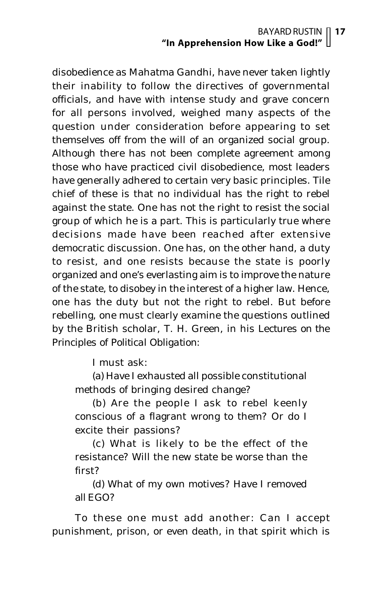disobedience as Mahatma Gandhi, have never taken lightly their inability to follow the directives of governmental officials, and have with intense study and grave concern for all persons involved, weighed many aspects of the question under consideration before appearing to set themselves off from the will of an organized social group. Although there has not been complete agreement among those who have practiced civil disobedience, most leaders have generally adhered to certain very basic principles. Tile chief of these is that no individual has the right to rebel against the state. One has not the right to resist the social group of which he is a part. This is particularly true where decisions made have been reached after extensive democratic discussion. One has, on the other hand, a duty to resist, and one resists because the state is poorly organized and one's everlasting aim is to improve the nature of the state, to disobey in the interest of a higher law. Hence, one has the duty but not the right to rebel. But before rebelling, one must clearly examine the questions outlined by the British scholar, T. H. Green, in his *Lectures on the Principles of Political Obligation:*

I must ask:

(a) Have I exhausted all possible constitutional methods of bringing desired change?

(b) Are the people I ask to rebel keenly conscious of a flagrant wrong to them? Or do I excite their passions?

(c) What is likely to be the effect of the resistance? Will the new state be worse than the first?

(d) What of my own motives? Have I removed all EGO?

To these one must add another: Can I accept punishment, prison, or even death, in that spirit which is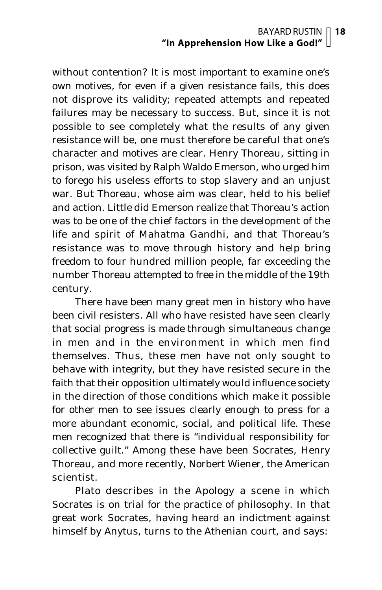without contention? It is most important to examine one's own motives, for even if a given resistance fails, this does not disprove its validity; repeated attempts and repeated failures may be necessary to success. But, since it is not possible to see completely what the results of any given resistance will be, one must therefore be careful that one's character and motives are clear. Henry Thoreau, sitting in prison, was visited by Ralph Waldo Emerson, who urged him to forego his useless efforts to stop slavery and an unjust war. But Thoreau, whose aim was clear, held to his belief and action. Little did Emerson realize that Thoreau's action was to be one of the chief factors in the development of the life and spirit of Mahatma Gandhi, and that Thoreau's resistance was to move through history and help bring freedom to four hundred million people, far exceeding the number Thoreau attempted to free in the middle of the 19th century.

There have been many great men in history who have been civil resisters. All who have resisted have seen clearly that social progress is made through simultaneous change in men and in the environment in which men find themselves. Thus, these men have not only sought to behave with integrity, but they have resisted secure in the faith that their opposition ultimately would influence society in the direction of those conditions which make it possible for other men to see issues clearly enough to press for a more abundant economic, social, and political life. These men recognized that there is "individual responsibility for collective guilt." Among these have been Socrates, Henry Thoreau, and more recently, Norbert Wiener, the American scientist.

Plato describes in the *Apology* a scene in which Socrates is on trial for the practice of philosophy. In that great work Socrates, having heard an indictment against himself by Anytus, turns to the Athenian court, and says: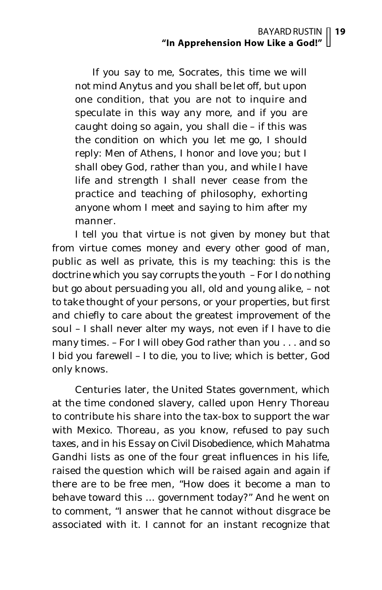If you say to me, Socrates, this time we will not mind Anytus and you shall be let off, but upon one condition, that you are not to inquire and speculate in this way any more, and if you are caught doing so again, you shall die – if this was the condition on which you let me go, I should reply: Men of Athens, I honor and love you; but I shall obey God, rather than you, and while I have life and strength I shall never cease from the practice and teaching of philosophy, exhorting anyone whom I meet and saying to him after my manner.

I tell you that virtue is not given by money but that from virtue comes money and every other good of man, public as well as private, this is my teaching: this is the doctrine which you say corrupts the youth – For I do nothing but go about persuading you all, old and young alike, – not to take thought of your persons, or your properties, but first and chiefly to care about the greatest improvement of the soul – I shall never alter my ways, not even if I have to die many times. – For I will obey God rather than you . . . and so I bid you farewell – I to die, you to live; which is better, God only knows.

Centuries later, the United States government, which at the time condoned slavery, called upon Henry Thoreau to contribute his share into the tax-box to support the war with Mexico. Thoreau, as you know, refused to pay such taxes, and in his *Essay on Civil Disobedience,* which Mahatma Gandhi lists as one of the four great influences in his life, raised the question which will be raised again and again if there are to be free men, "How does it become a man to behave toward this ... government today?" And he went on to comment, "I answer that he cannot without disgrace be associated with it. I cannot for an instant recognize that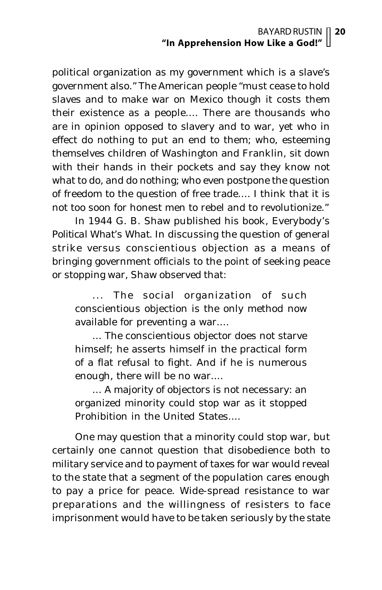political organization as my government which is a slave's government also." The American people "must cease to hold slaves and to make war on Mexico though it costs them their existence as a people.... There are thousands who are in opinion opposed to slavery and to war, yet who in effect do nothing to put an end to them; who, esteeming themselves children of Washington and Franklin, sit down with their hands in their pockets and say they know not what to do, and do nothing; who even postpone the question of freedom to the question of free trade.... I think that it is not too soon for honest men to rebel and to revolutionize."

In 1944 G. B. Shaw published his book, *Everybody's Political What's What.* In discussing the question of general strike versus conscientious objection as a means of bringing government officials to the point of seeking peace or stopping war, Shaw observed that:

... The social organization of such conscientious objection is the only method now available for preventing a war....

... The conscientious objector does not starve himself; he asserts himself in the practical form of a flat refusal to fight. And if he is numerous enough, there will be no war....

... A majority of objectors is not necessary: an organized minority could stop war as it stopped Prohibition in the United States....

One may question that a minority could stop war, but certainly one cannot question that disobedience both to military service and to payment of taxes for war would reveal to the state that a segment of the population cares enough to pay a price for peace. Wide-spread resistance to war preparations and the willingness of resisters to face imprisonment would have to be taken seriously by the state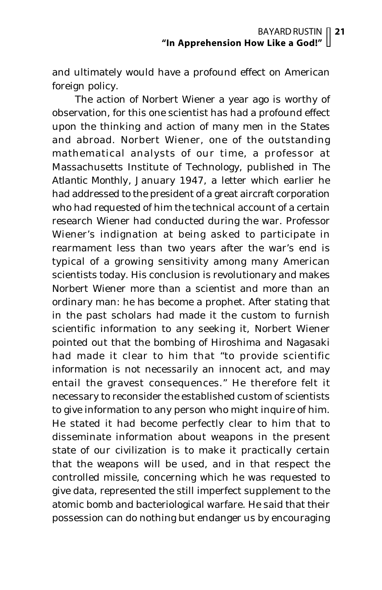and ultimately would have a profound effect on American foreign policy.

The action of Norbert Wiener a year ago is worthy of observation, for this one scientist has had a profound effect upon the thinking and action of many men in the States and abroad. Norbert Wiener, one of the outstanding mathematical analysts of our time, a professor at Massachusetts Institute of Technology, published in *The Atlantic Monthly,* January 1947, a letter which earlier he had addressed to the president of a great aircraft corporation who had requested of him the technical account of a certain research Wiener had conducted during the war. Professor Wiener's indignation at being asked to participate in rearmament less than two years after the war's end is typical of a growing sensitivity among many American scientists today. His conclusion is revolutionary and makes Norbert Wiener more than a scientist and more than an ordinary man: he has become a prophet. After stating that in the past scholars had made it the custom to furnish scientific information to any seeking it, Norbert Wiener pointed out that the bombing of Hiroshima and Nagasaki had made it clear to him that "to provide scientific information is not necessarily an innocent act, and may entail the gravest consequences." He therefore felt it necessary to reconsider the established custom of scientists to give information to any person who might inquire of him. He stated it had become perfectly clear to him that to disseminate information about weapons in the present state of our civilization is to make it practically certain that the weapons will be used, and in that respect the controlled missile, concerning which he was requested to give data, represented the still imperfect supplement to the atomic bomb and bacteriological warfare. He said that their possession can do nothing but endanger us by encouraging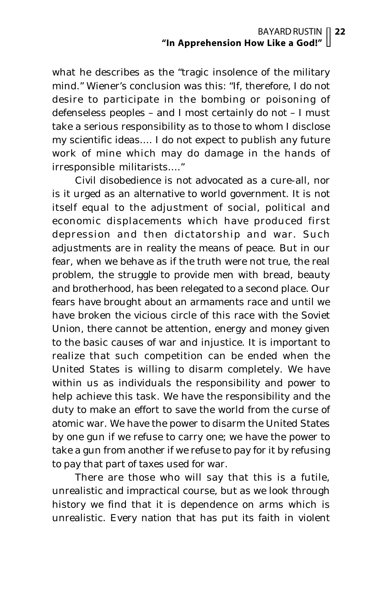what he describes as the "tragic insolence of the military mind." Wiener's conclusion was this: "If, therefore, I do not desire to participate in the bombing or poisoning of defenseless peoples – and I most certainly do not – I must take a serious responsibility as to those to whom I disclose my scientific ideas.... I do not expect to publish any future work of mine which may do damage in the hands of irresponsible militarists...."

Civil disobedience is not advocated as a cure-all, nor is it urged as an alternative to world government. It is not itself equal to the adjustment of social, political and economic displacements which have produced first depression and then dictatorship and war. Such adjustments are in reality the means of peace. But in our fear, when we behave as if the truth were not true, the real problem, the struggle to provide men with bread, beauty and brotherhood, has been relegated to a second place. Our fears have brought about an armaments race and until we have broken the vicious circle of this race with the Soviet Union, there cannot be attention, energy and money given to the basic causes of war and injustice. It is important to realize that such competition can be ended when the United States is willing to disarm completely. We have within us as individuals the responsibility and power to help achieve this task. We have the responsibility and the duty to make an effort to save the world from the curse of atomic war. We have the power to disarm the United States by one gun if we refuse to carry one; we have the power to take a gun from another if we refuse to pay for it by refusing to pay that part of taxes used for war.

There are those who will say that this is a futile, unrealistic and impractical course, but as we look through history we find that it is dependence on arms which is unrealistic. Every nation that has put its faith in violent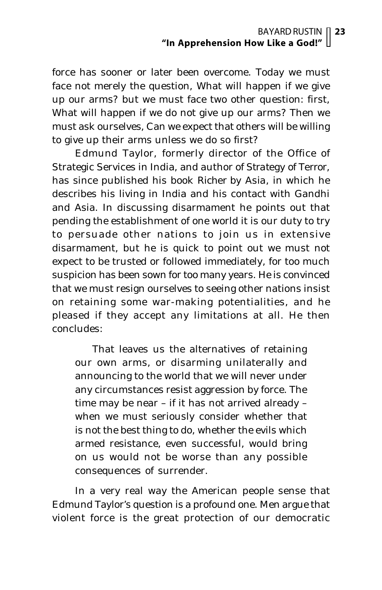force has sooner or later been overcome. Today we must face not merely the question, What will happen if we give up our arms? but we must face two other question: first, What will happen if we do not give up our arms? Then we must ask ourselves, Can we expect that others will be willing to give up their arms unless we do so first?

Edmund Taylor, formerly director of the Office of Strategic Services in India, and author of *Strategy of Terror*, has since published his book *Richer by Asia*, in which he describes his living in India and his contact with Gandhi and Asia. In discussing disarmament he points out that pending the establishment of one world it is our duty to try to persuade other nations to join us in extensive disarmament, but he is quick to point out we must not expect to be trusted or followed immediately, for too much suspicion has been sown for too many years. He is convinced that we must resign ourselves to seeing other nations insist on retaining some war-making potentialities, and he pleased if they accept any limitations at all. He then concludes:

That leaves us the alternatives of retaining our own arms, or disarming unilaterally and announcing to the world that we will never under any circumstances resist aggression by force. The time may be near – if it has not arrived already – when we must seriously consider whether that is not the best thing to do, whether the evils which armed resistance, even successful, would bring on us would not be worse than any possible consequences of surrender.

In a very real way the American people sense that Edmund Taylor's question is a profound one. Men argue that violent force is the great protection of our democratic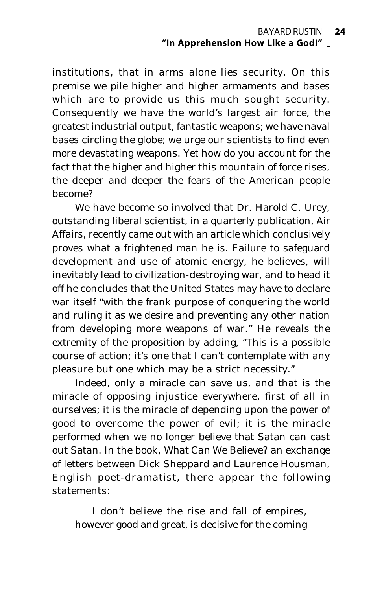institutions, that in arms alone lies security. On this premise we pile higher and higher armaments and bases which are to provide us this much sought security. Consequently we have the world's largest air force, the greatest industrial output, fantastic weapons; we have naval bases circling the globe; we urge our scientists to find even more devastating weapons. Yet how do you account for the fact that the higher and higher this mountain of force rises, the deeper and deeper the fears of the American people become?

We have become so involved that Dr. Harold C. Urey, outstanding liberal scientist, in a quarterly publication, *Air Affairs*, recently came out with an article which conclusively proves what a frightened man he is. Failure to safeguard development and use of atomic energy, he believes, will inevitably lead to civilization-destroying war, and to head it off he concludes that the United States may have to declare war itself "with the frank purpose of conquering the world and ruling it as we desire and preventing any other nation from developing more weapons of war." He reveals the extremity of the proposition by adding, "This is a possible course of action; it's one that I can't contemplate with any pleasure but one which may be a strict necessity."

Indeed, only a miracle can save us, and that is the miracle of opposing injustice everywhere, first of all in ourselves; it is the miracle of depending upon the power of good to overcome the power of evil; it is the miracle performed when we no longer believe that Satan can cast out Satan. In the book, *What Can We Believe?* an exchange of letters between Dick Sheppard and Laurence Housman, English poet-dramatist, there appear the following statements:

I don't believe the rise and fall of empires, however good and great, is decisive for the coming